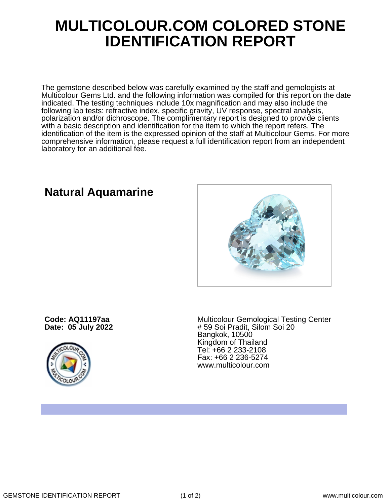## **MULTICOLOUR.COM COLORED STONE IDENTIFICATION REPORT**

The gemstone described below was carefully examined by the staff and gemologists at Multicolour Gems Ltd. and the following information was compiled for this report on the date indicated. The testing techniques include 10x magnification and may also include the following lab tests: refractive index, specific gravity, UV response, spectral analysis, polarization and/or dichroscope. The complimentary report is designed to provide clients with a basic description and identification for the item to which the report refers. The identification of the item is the expressed opinion of the staff at Multicolour Gems. For more comprehensive information, please request a full identification report from an independent laboratory for an additional fee.

**Natural Aquamarine**

**Code: AQ11197aa Date: 05 July 2022**



Multicolour Gemological Testing Center # 59 Soi Pradit, Silom Soi 20 Bangkok, 10500 Kingdom of Thailand Tel: +66 2 233-2108 Fax: +66 2 236-5274 www.multicolour.com